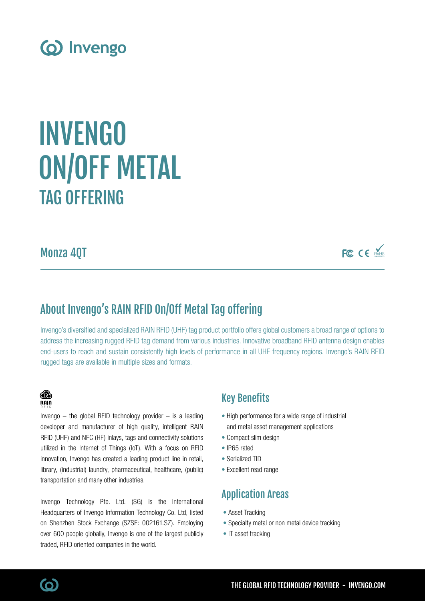

# TAG OFFERING INVENGO ON/OFF METAL

Monza 4QT

FC CE MARIS

## About Invengo's RAIN RFID On/Off Metal Tag offering

Invengo's diversified and specialized RAIN RFID (UHF) tag product portfolio offers global customers a broad range of options to address the increasing rugged RFID tag demand from various industries. Innovative broadband RFID antenna design enables end-users to reach and sustain consistently high levels of performance in all UHF frequency regions. Invengo's RAIN RFID rugged tags are available in multiple sizes and formats.



Invengo  $-$  the global RFID technology provider  $-$  is a leading developer and manufacturer of high quality, intelligent RAIN RFID (UHF) and NFC (HF) inlays, tags and connectivity solutions utilized in the Internet of Things (IoT). With a focus on RFID innovation, Invengo has created a leading product line in retail, library, (industrial) laundry, pharmaceutical, healthcare, (public) transportation and many other industries.

Invengo Technology Pte. Ltd. (SG) is the International Headquarters of Invengo Information Technology Co. Ltd, listed on Shenzhen Stock Exchange (SZSE: 002161.SZ). Employing over 600 people globally, Invengo is one of the largest publicly traded, RFID oriented companies in the world.

### Key Benefits

- High performance for a wide range of industrial and metal asset management applications
- Compact slim design
- IP65 rated
- Serialized TID
- Excellent read range

### Application Areas

- Asset Tracking
- Specialty metal or non metal device tracking
- IT asset tracking